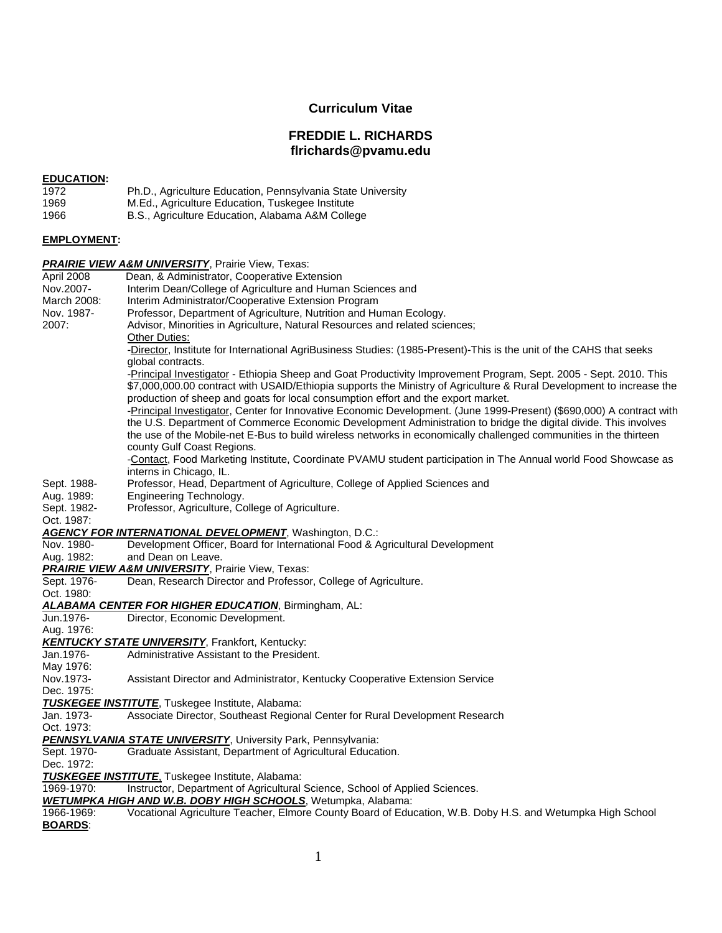## **Curriculum Vitae**

# **FREDDIE L. RICHARDS flrichards@pvamu.edu**

#### **EDUCATION:**

| 1972 | Ph.D., Agriculture Education, Pennsylvania State University |
|------|-------------------------------------------------------------|
| 1969 | M.Ed., Agriculture Education, Tuskegee Institute            |
| 1966 | B.S., Agriculture Education, Alabama A&M College            |

#### **EMPLOYMENT:**

# *PRAIRIE VIEW A&M UNIVERSITY*, Prairie View, Texas:

April 2008 Dean, & Administrator, Cooperative Extension Nov.2007- Interim Dean/College of Agriculture and Human Sciences and March 2008: Interim Administrator/Cooperative Extension Program Nov. 1987- Professor, Department of Agriculture, Nutrition and Human Ecology. 2007: Advisor, Minorities in Agriculture, Natural Resources and related sciences; **Other Duties:** -Director, Institute for International AgriBusiness Studies: (1985-Present)-This is the unit of the CAHS that seeks global contracts. -Principal Investigator - Ethiopia Sheep and Goat Productivity Improvement Program, Sept. 2005 - Sept. 2010. This \$7,000,000.00 contract with USAID/Ethiopia supports the Ministry of Agriculture & Rural Development to increase the production of sheep and goats for local consumption effort and the export market. -Principal Investigator, Center for Innovative Economic Development. (June 1999-Present) (\$690,000) A contract with the U.S. Department of Commerce Economic Development Administration to bridge the digital divide. This involves the use of the Mobile-net E-Bus to build wireless networks in economically challenged communities in the thirteen county Gulf Coast Regions. -Contact, Food Marketing Institute, Coordinate PVAMU student participation in The Annual world Food Showcase as interns in Chicago, IL. Sept. 1988- Professor, Head, Department of Agriculture, College of Applied Sciences and Aug. 1989: Engineering Technology. Sept. 1982- Professor, Agriculture, College of Agriculture. Oct. 1987: *AGENCY FOR INTERNATIONAL DEVELOPMENT*, Washington, D.C.: Nov. 1980- Development Officer, Board for International Food & Agricultural Development Aug. 1982: and Dean on Leave. *PRAIRIE VIEW A&M UNIVERSITY*, Prairie View, Texas: Sept. 1976- Dean, Research Director and Professor, College of Agriculture. Oct. 1980: *ALABAMA CENTER FOR HIGHER EDUCATION*, Birmingham, AL: Jun.1976- Director, Economic Development. Aug. 1976: *KENTUCKY STATE UNIVERSITY*, Frankfort, Kentucky: Administrative Assistant to the President. May 1976: Nov.1973- Assistant Director and Administrator, Kentucky Cooperative Extension Service Dec. 1975: *TUSKEGEE INSTITUTE*, Tuskegee Institute, Alabama: Jan. 1973- Associate Director, Southeast Regional Center for Rural Development Research Oct. 1973: *PENNSYLVANIA STATE UNIVERSITY*, University Park, Pennsylvania: Sept. 1970- Graduate Assistant, Department of Agricultural Education. Dec. 1972: *TUSKEGEE INSTITUTE*, Tuskegee Institute, Alabama: 1969-1970: Instructor, Department of Agricultural Science, School of Applied Sciences. *WETUMPKA HIGH AND W.B. DOBY HIGH SCHOOLS*, Wetumpka, Alabama: 1966-1969: Vocational Agriculture Teacher, Elmore County Board of Education, W.B. Doby H.S. and Wetumpka High School **BOARDS**: